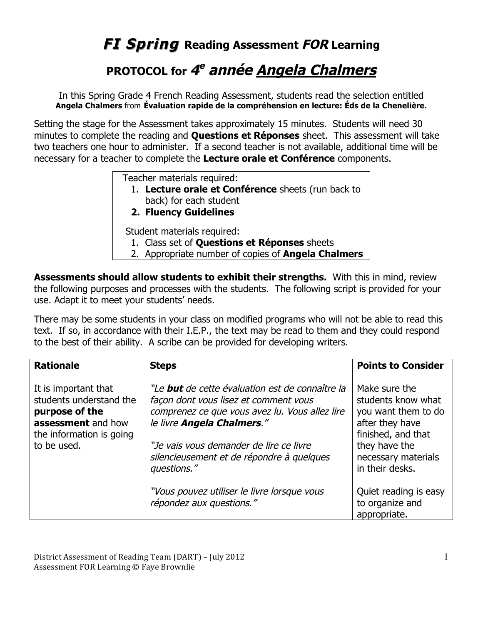## **FI Spring Reading Assessment FOR Learning**

## **PROTOCOL for 4e année Angela Chalmers**

In this Spring Grade 4 French Reading Assessment, students read the selection entitled **Angela Chalmers** from **Évaluation rapide de la compréhension en lecture: Éds de la Chenelière.**

Setting the stage for the Assessment takes approximately 15 minutes. Students will need 30 minutes to complete the reading and **Questions et Réponses** sheet. This assessment will take two teachers one hour to administer. If a second teacher is not available, additional time will be necessary for a teacher to complete the **Lecture orale et Conférence** components.

Teacher materials required:

- 1. **Lecture orale et Conférence** sheets (run back to back) for each student
- **2. Fluency Guidelines**

Student materials required:

- 1. Class set of **Questions et Réponses** sheets
- 2. Appropriate number of copies of **Angela Chalmers**

**Assessments should allow students to exhibit their strengths.** With this in mind, review the following purposes and processes with the students. The following script is provided for your use. Adapt it to meet your students' needs.

There may be some students in your class on modified programs who will not be able to read this text. If so, in accordance with their I.E.P., the text may be read to them and they could respond to the best of their ability. A scribe can be provided for developing writers.

| <b>Rationale</b>                                                                                                                   | <b>Steps</b>                                                                                                                                                                                                                                                                           | <b>Points to Consider</b>                                                                                                                                      |
|------------------------------------------------------------------------------------------------------------------------------------|----------------------------------------------------------------------------------------------------------------------------------------------------------------------------------------------------------------------------------------------------------------------------------------|----------------------------------------------------------------------------------------------------------------------------------------------------------------|
| It is important that<br>students understand the<br>purpose of the<br>assessment and how<br>the information is going<br>to be used. | "Le <b>but</b> de cette évaluation est de connaître la<br>façon dont vous lisez et comment vous<br>comprenez ce que vous avez lu. Vous allez lire<br>le livre Angela Chalmers."<br>"Je vais vous demander de lire ce livre<br>silencieusement et de répondre à quelques<br>questions." | Make sure the<br>students know what<br>you want them to do<br>after they have<br>finished, and that<br>they have the<br>necessary materials<br>in their desks. |
|                                                                                                                                    | "Vous pouvez utiliser le livre lorsque vous<br>répondez aux questions."                                                                                                                                                                                                                | Quiet reading is easy<br>to organize and<br>appropriate.                                                                                                       |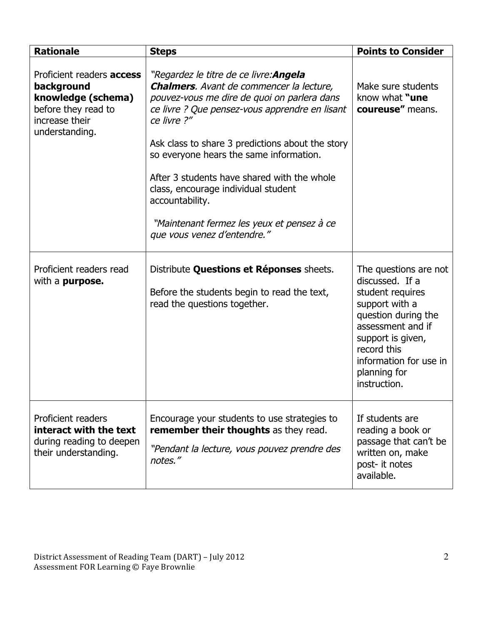| <b>Rationale</b>                                                                                                                | <b>Steps</b>                                                                                                                                                                                                                                                                                                                                                                                                                                                                                          | <b>Points to Consider</b>                                                                                                                                                                                                |
|---------------------------------------------------------------------------------------------------------------------------------|-------------------------------------------------------------------------------------------------------------------------------------------------------------------------------------------------------------------------------------------------------------------------------------------------------------------------------------------------------------------------------------------------------------------------------------------------------------------------------------------------------|--------------------------------------------------------------------------------------------------------------------------------------------------------------------------------------------------------------------------|
| Proficient readers <b>access</b><br>background<br>knowledge (schema)<br>before they read to<br>increase their<br>understanding. | "Regardez le titre de ce livre: <b>Angela</b><br><b>Chalmers.</b> Avant de commencer la lecture,<br>pouvez-vous me dire de quoi on parlera dans<br>ce livre ? Que pensez-vous apprendre en lisant<br>ce livre ?"<br>Ask class to share 3 predictions about the story<br>so everyone hears the same information.<br>After 3 students have shared with the whole<br>class, encourage individual student<br>accountability.<br>"Maintenant fermez les yeux et pensez à ce<br>que vous venez d'entendre." | Make sure students<br>know what "une<br>coureuse" means.                                                                                                                                                                 |
| Proficient readers read<br>with a <b>purpose.</b>                                                                               | Distribute Questions et Réponses sheets.<br>Before the students begin to read the text,<br>read the questions together.                                                                                                                                                                                                                                                                                                                                                                               | The questions are not<br>discussed. If a<br>student requires<br>support with a<br>question during the<br>assessment and if<br>support is given,<br>record this<br>information for use in<br>planning for<br>instruction. |
| Proficient readers<br>interact with the text<br>during reading to deepen<br>their understanding.                                | Encourage your students to use strategies to<br>remember their thoughts as they read.<br>"Pendant la lecture, vous pouvez prendre des<br>notes."                                                                                                                                                                                                                                                                                                                                                      | If students are<br>reading a book or<br>passage that can't be<br>written on, make<br>post- it notes<br>available.                                                                                                        |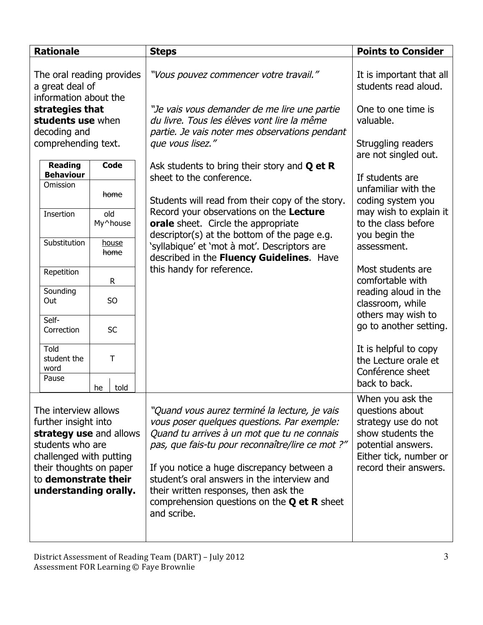| <b>Rationale</b>                                                                                                                                                        |                           | <b>Steps</b>                                                                                                                                                                                                                                                                                                                                                                                            | <b>Points to Consider</b>                                                                                                                                |
|-------------------------------------------------------------------------------------------------------------------------------------------------------------------------|---------------------------|---------------------------------------------------------------------------------------------------------------------------------------------------------------------------------------------------------------------------------------------------------------------------------------------------------------------------------------------------------------------------------------------------------|----------------------------------------------------------------------------------------------------------------------------------------------------------|
| a great deal of<br>information about the                                                                                                                                | The oral reading provides | "Vous pouvez commencer votre travail."<br>"Je vais vous demander de me lire une partie                                                                                                                                                                                                                                                                                                                  | It is important that all<br>students read aloud.<br>One to one time is                                                                                   |
| strategies that<br>students use when<br>decoding and<br>comprehending text.                                                                                             |                           | du livre. Tous les élèves vont lire la même<br>partie. Je vais noter mes observations pendant<br>que vous lisez."                                                                                                                                                                                                                                                                                       | valuable.<br>Struggling readers<br>are not singled out.                                                                                                  |
| <b>Reading</b><br><b>Behaviour</b>                                                                                                                                      | Code                      | Ask students to bring their story and $Q$ et $R$<br>sheet to the conference.                                                                                                                                                                                                                                                                                                                            | If students are                                                                                                                                          |
| Omission                                                                                                                                                                | home                      | Students will read from their copy of the story.                                                                                                                                                                                                                                                                                                                                                        | unfamiliar with the<br>coding system you                                                                                                                 |
| Insertion                                                                                                                                                               | old<br>My^house           | Record your observations on the Lecture<br>orale sheet. Circle the appropriate<br>descriptor(s) at the bottom of the page e.g.                                                                                                                                                                                                                                                                          | may wish to explain it<br>to the class before<br>you begin the                                                                                           |
| Substitution                                                                                                                                                            | house<br>home             | 'syllabique' et 'mot à mot'. Descriptors are<br>described in the Fluency Guidelines. Have                                                                                                                                                                                                                                                                                                               | assessment.                                                                                                                                              |
| Repetition                                                                                                                                                              | R                         | this handy for reference.                                                                                                                                                                                                                                                                                                                                                                               | Most students are<br>comfortable with                                                                                                                    |
| Sounding<br>Out                                                                                                                                                         | S <sub>O</sub>            |                                                                                                                                                                                                                                                                                                                                                                                                         | reading aloud in the<br>classroom, while<br>others may wish to                                                                                           |
| Self-<br>Correction                                                                                                                                                     | <b>SC</b>                 |                                                                                                                                                                                                                                                                                                                                                                                                         | go to another setting.                                                                                                                                   |
| <b>Told</b><br>student the<br>word                                                                                                                                      | $\mathsf T$               |                                                                                                                                                                                                                                                                                                                                                                                                         | It is helpful to copy<br>the Lecture orale et<br>Conférence sheet                                                                                        |
| Pause                                                                                                                                                                   | told<br>he                |                                                                                                                                                                                                                                                                                                                                                                                                         | back to back.                                                                                                                                            |
| The interview allows<br>further insight into<br>students who are<br>challenged with putting<br>their thoughts on paper<br>to demonstrate their<br>understanding orally. | strategy use and allows   | "Quand vous aurez terminé la lecture, je vais<br>vous poser quelques questions. Par exemple:<br>Quand tu arrives à un mot que tu ne connais<br>pas, que fais-tu pour reconnaître/lire ce mot ?"<br>If you notice a huge discrepancy between a<br>student's oral answers in the interview and<br>their written responses, then ask the<br>comprehension questions on the $Q$ et $R$ sheet<br>and scribe. | When you ask the<br>questions about<br>strategy use do not<br>show students the<br>potential answers.<br>Either tick, number or<br>record their answers. |